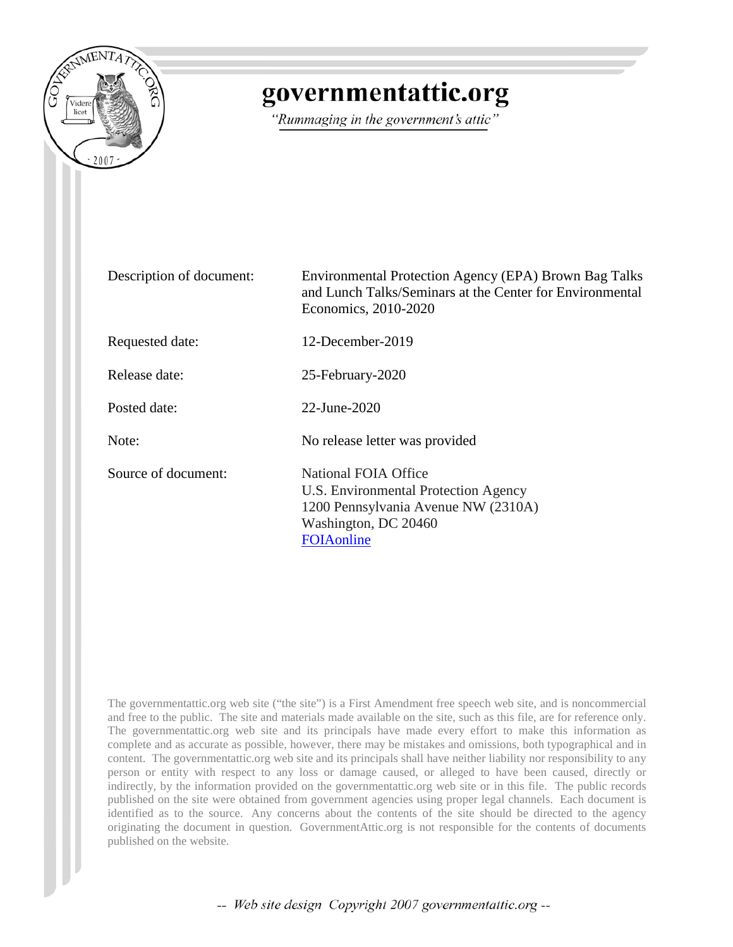

# governmentattic.org

"Rummaging in the government's attic"

| Description of document: | Environmental Protection Agency (EPA) Brown Bag Talks<br>and Lunch Talks/Seminars at the Center for Environmental<br>Economics, 2010-2020               |
|--------------------------|---------------------------------------------------------------------------------------------------------------------------------------------------------|
| Requested date:          | 12-December-2019                                                                                                                                        |
| Release date:            | 25-February-2020                                                                                                                                        |
| Posted date:             | 22-June-2020                                                                                                                                            |
| Note:                    | No release letter was provided                                                                                                                          |
| Source of document:      | <b>National FOIA Office</b><br>U.S. Environmental Protection Agency<br>1200 Pennsylvania Avenue NW (2310A)<br>Washington, DC 20460<br><b>FOIAonline</b> |

The governmentattic.org web site ("the site") is a First Amendment free speech web site, and is noncommercial and free to the public. The site and materials made available on the site, such as this file, are for reference only. The governmentattic.org web site and its principals have made every effort to make this information as complete and as accurate as possible, however, there may be mistakes and omissions, both typographical and in content. The governmentattic.org web site and its principals shall have neither liability nor responsibility to any person or entity with respect to any loss or damage caused, or alleged to have been caused, directly or indirectly, by the information provided on the governmentattic.org web site or in this file. The public records published on the site were obtained from government agencies using proper legal channels. Each document is identified as to the source. Any concerns about the contents of the site should be directed to the agency originating the document in question. GovernmentAttic.org is not responsible for the contents of documents published on the website.

-- Web site design Copyright 2007 governmentattic.org --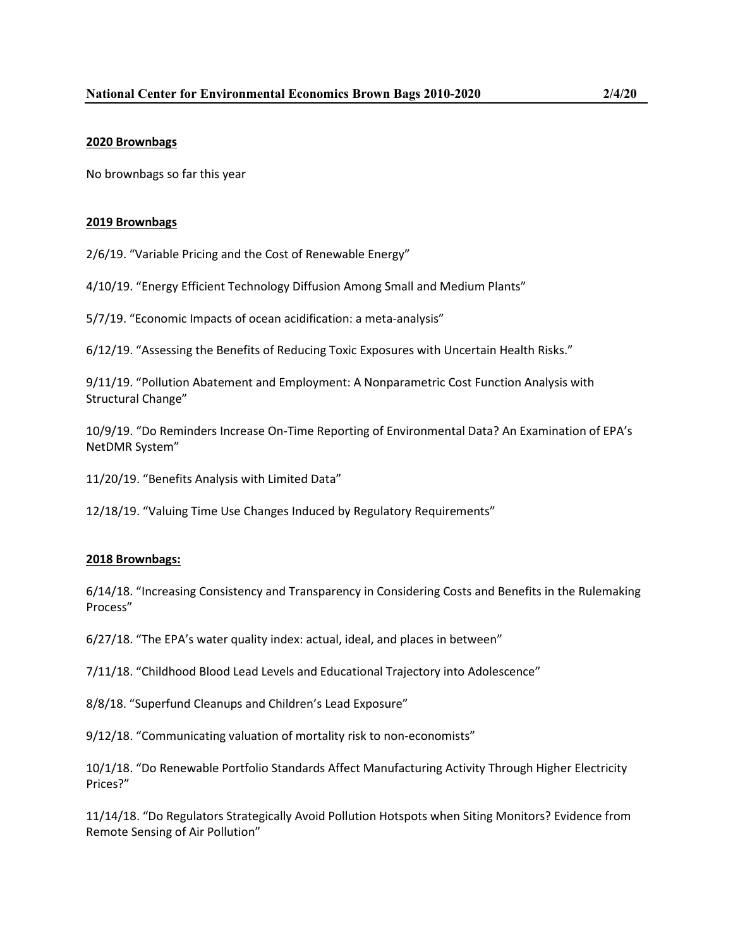## **2020 Brownbags**

No brownbags so far this year

### **2019 Brownbags**

2/6/19. "Variable Pricing and the Cost of Renewable Energy"

4/10/19. "Energy Efficient Technology Diffusion Among Small and Medium Plants"

5/7/19. "Economic Impacts of ocean acidification: a meta-analysis"

6/12/19. "Assessing the Benefits of Reducing Toxic Exposures with Uncertain Health Risks."

9/11/19. "Pollution Abatement and Employment: A Nonparametric Cost Function Analysis with Structural Change"

10/9/19. "Do Reminders Increase On-Time Reporting of Environmental Data? An Examination of EPA's NetDMR System"

11/20/19. "Benefits Analysis with Limited Data"

12/18/19. "Valuing Time Use Changes Induced by Regulatory Requirements"

## **2018 Brownbags:**

6/14/18. "Increasing Consistency and Transparency in Considering Costs and Benefits in the Rulemaking Process"

6/27/18. "The EPA's water quality index: actual, ideal, and places in between"

7/11/18. "Childhood Blood Lead Levels and Educational Trajectory into Adolescence"

8/8/18. "Superfund Cleanups and Children's Lead Exposure"

9/12/18. "Communicating valuation of mortality risk to non-economists"

10/1/18. "Do Renewable Portfolio Standards Affect Manufacturing Activity Through Higher Electricity Prices?"

11/14/18. "Do Regulators Strategically Avoid Pollution Hotspots when Siting Monitors? Evidence from Remote Sensing of Air Pollution"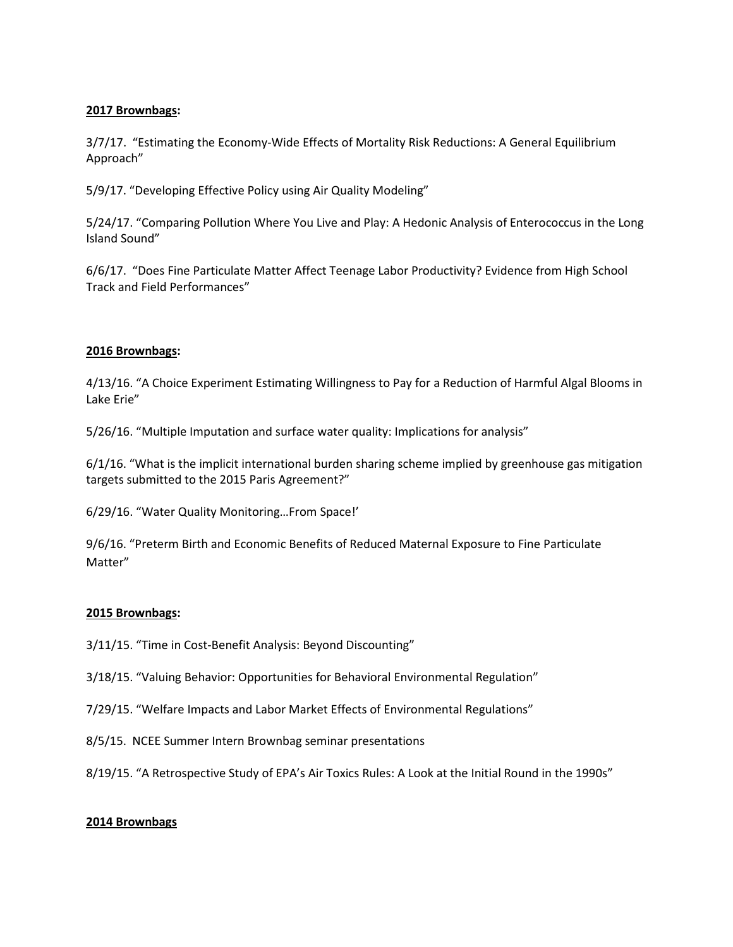# **2017 Brownbags:**

3/7/17. "Estimating the Economy-Wide Effects of Mortality Risk Reductions: A General Equilibrium Approach"

5/9/17. "Developing Effective Policy using Air Quality Modeling"

5/24/17. "Comparing Pollution Where You Live and Play: A Hedonic Analysis of Enterococcus in the Long Island Sound"

6/6/17. "Does Fine Particulate Matter Affect Teenage Labor Productivity? Evidence from High School Track and Field Performances"

## **2016 Brownbags:**

4/13/16. "A Choice Experiment Estimating Willingness to Pay for a Reduction of Harmful Algal Blooms in Lake Erie"

5/26/16. "Multiple Imputation and surface water quality: Implications for analysis"

6/1/16. "What is the implicit international burden sharing scheme implied by greenhouse gas mitigation targets submitted to the 2015 Paris Agreement?"

6/29/16. "Water Quality Monitoring…From Space!'

9/6/16. "Preterm Birth and Economic Benefits of Reduced Maternal Exposure to Fine Particulate Matter"

## **2015 Brownbags:**

3/11/15. "Time in Cost-Benefit Analysis: Beyond Discounting"

3/18/15. "Valuing Behavior: Opportunities for Behavioral Environmental Regulation"

- 7/29/15. "Welfare Impacts and Labor Market Effects of Environmental Regulations"
- 8/5/15. NCEE Summer Intern Brownbag seminar presentations

8/19/15. "A Retrospective Study of EPA's Air Toxics Rules: A Look at the Initial Round in the 1990s"

#### **2014 Brownbags**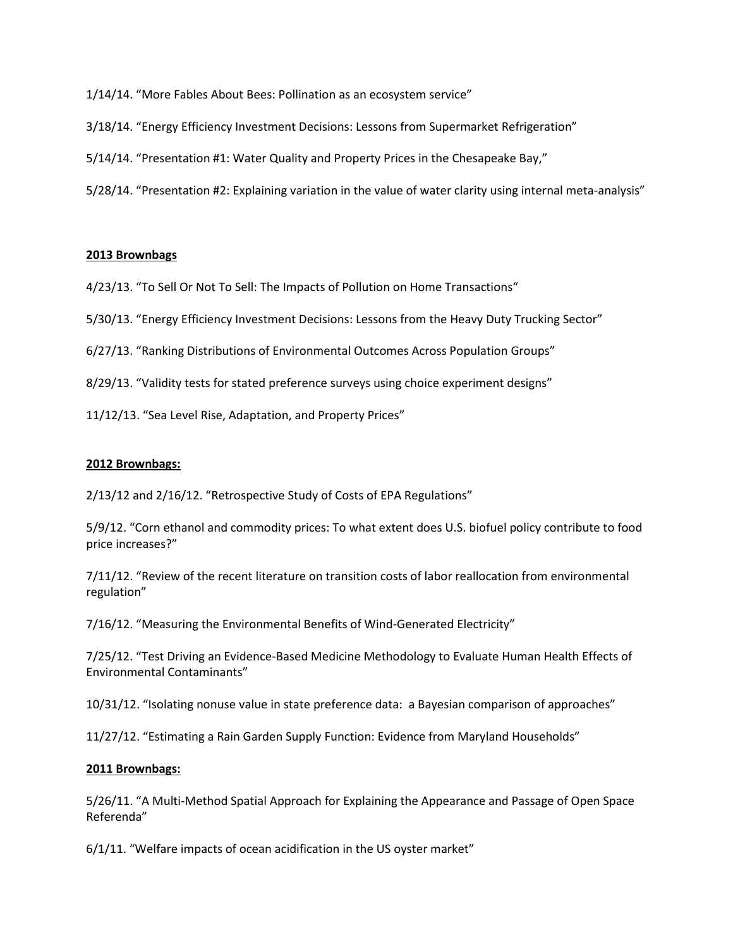1/14/14. "More Fables About Bees: Pollination as an ecosystem service"

- 3/18/14. "Energy Efficiency Investment Decisions: Lessons from Supermarket Refrigeration"
- 5/14/14. "Presentation #1: Water Quality and Property Prices in the Chesapeake Bay,"
- 5/28/14. "Presentation #2: Explaining variation in the value of water clarity using internal meta-analysis"

#### **2013 Brownbags**

- 4/23/13. "To Sell Or Not To Sell: The Impacts of Pollution on Home Transactions"
- 5/30/13. "Energy Efficiency Investment Decisions: Lessons from the Heavy Duty Trucking Sector"
- 6/27/13. "Ranking Distributions of Environmental Outcomes Across Population Groups"
- 8/29/13. "Validity tests for stated preference surveys using choice experiment designs"
- 11/12/13. "Sea Level Rise, Adaptation, and Property Prices"

#### **2012 Brownbags:**

2/13/12 and 2/16/12. "Retrospective Study of Costs of EPA Regulations"

5/9/12. "Corn ethanol and commodity prices: To what extent does U.S. biofuel policy contribute to food price increases?"

7/11/12. "Review of the recent literature on transition costs of labor reallocation from environmental regulation"

7/16/12. "Measuring the Environmental Benefits of Wind-Generated Electricity"

7/25/12. "Test Driving an Evidence-Based Medicine Methodology to Evaluate Human Health Effects of Environmental Contaminants"

10/31/12. "Isolating nonuse value in state preference data: a Bayesian comparison of approaches"

11/27/12. "Estimating a Rain Garden Supply Function: Evidence from Maryland Households"

#### **2011 Brownbags:**

5/26/11. "A Multi-Method Spatial Approach for Explaining the Appearance and Passage of Open Space Referenda"

6/1/11. "Welfare impacts of ocean acidification in the US oyster market"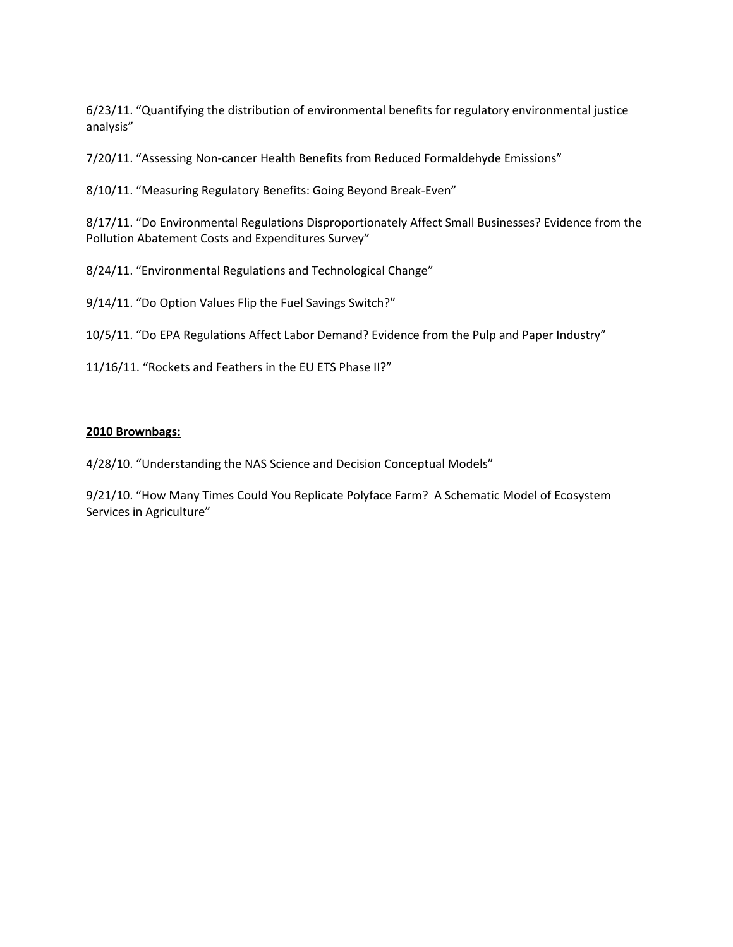6/23/11. "Quantifying the distribution of environmental benefits for regulatory environmental justice analysis"

7/20/11. "Assessing Non-cancer Health Benefits from Reduced Formaldehyde Emissions"

8/10/11. "Measuring Regulatory Benefits: Going Beyond Break-Even"

8/17/11. "Do Environmental Regulations Disproportionately Affect Small Businesses? Evidence from the Pollution Abatement Costs and Expenditures Survey"

8/24/11. "Environmental Regulations and Technological Change"

9/14/11. "Do Option Values Flip the Fuel Savings Switch?"

10/5/11. "Do EPA Regulations Affect Labor Demand? Evidence from the Pulp and Paper Industry"

11/16/11. "Rockets and Feathers in the EU ETS Phase II?"

## **2010 Brownbags:**

4/28/10. "Understanding the NAS Science and Decision Conceptual Models"

9/21/10. "How Many Times Could You Replicate Polyface Farm? A Schematic Model of Ecosystem Services in Agriculture"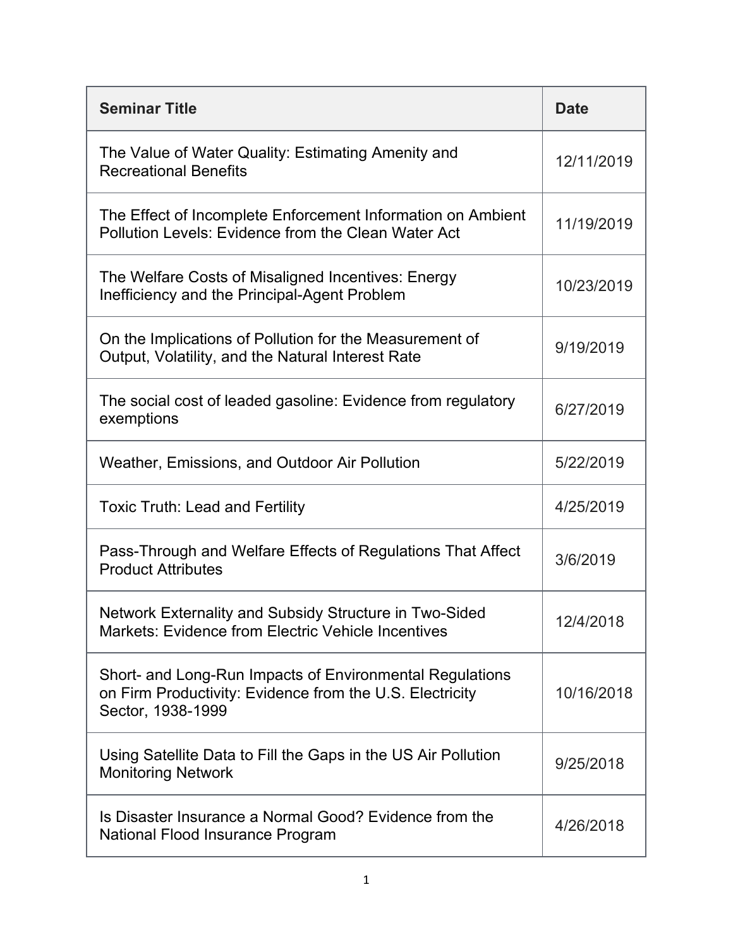| <b>Seminar Title</b>                                                                                                                      | <b>Date</b> |
|-------------------------------------------------------------------------------------------------------------------------------------------|-------------|
| The Value of Water Quality: Estimating Amenity and<br><b>Recreational Benefits</b>                                                        | 12/11/2019  |
| The Effect of Incomplete Enforcement Information on Ambient<br>Pollution Levels: Evidence from the Clean Water Act                        | 11/19/2019  |
| The Welfare Costs of Misaligned Incentives: Energy<br>Inefficiency and the Principal-Agent Problem                                        | 10/23/2019  |
| On the Implications of Pollution for the Measurement of<br>Output, Volatility, and the Natural Interest Rate                              | 9/19/2019   |
| The social cost of leaded gasoline: Evidence from regulatory<br>exemptions                                                                | 6/27/2019   |
| Weather, Emissions, and Outdoor Air Pollution                                                                                             | 5/22/2019   |
| <b>Toxic Truth: Lead and Fertility</b>                                                                                                    | 4/25/2019   |
| Pass-Through and Welfare Effects of Regulations That Affect<br><b>Product Attributes</b>                                                  | 3/6/2019    |
| Network Externality and Subsidy Structure in Two-Sided<br><b>Markets: Evidence from Electric Vehicle Incentives</b>                       | 12/4/2018   |
| Short- and Long-Run Impacts of Environmental Regulations<br>on Firm Productivity: Evidence from the U.S. Electricity<br>Sector, 1938-1999 | 10/16/2018  |
| Using Satellite Data to Fill the Gaps in the US Air Pollution<br><b>Monitoring Network</b>                                                | 9/25/2018   |
| Is Disaster Insurance a Normal Good? Evidence from the<br>National Flood Insurance Program                                                | 4/26/2018   |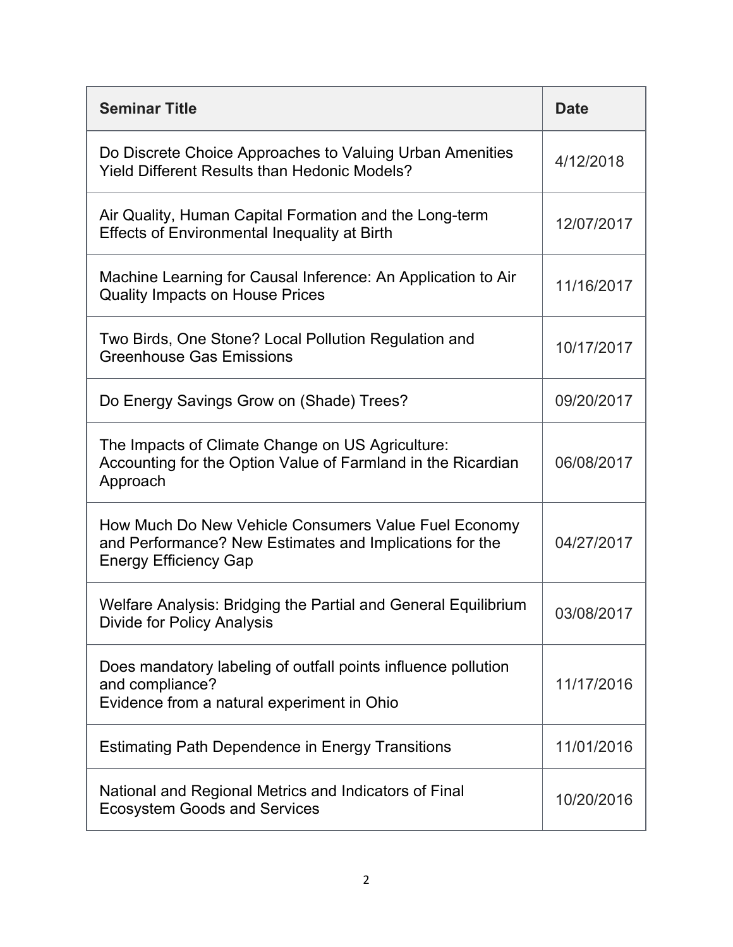| <b>Seminar Title</b>                                                                                                                            | <b>Date</b> |
|-------------------------------------------------------------------------------------------------------------------------------------------------|-------------|
| Do Discrete Choice Approaches to Valuing Urban Amenities<br><b>Yield Different Results than Hedonic Models?</b>                                 | 4/12/2018   |
| Air Quality, Human Capital Formation and the Long-term<br><b>Effects of Environmental Inequality at Birth</b>                                   | 12/07/2017  |
| Machine Learning for Causal Inference: An Application to Air<br><b>Quality Impacts on House Prices</b>                                          | 11/16/2017  |
| Two Birds, One Stone? Local Pollution Regulation and<br><b>Greenhouse Gas Emissions</b>                                                         | 10/17/2017  |
| Do Energy Savings Grow on (Shade) Trees?                                                                                                        | 09/20/2017  |
| The Impacts of Climate Change on US Agriculture:<br>Accounting for the Option Value of Farmland in the Ricardian<br>Approach                    | 06/08/2017  |
| How Much Do New Vehicle Consumers Value Fuel Economy<br>and Performance? New Estimates and Implications for the<br><b>Energy Efficiency Gap</b> | 04/27/2017  |
| Welfare Analysis: Bridging the Partial and General Equilibrium<br><b>Divide for Policy Analysis</b>                                             | 03/08/2017  |
| Does mandatory labeling of outfall points influence pollution<br>and compliance?<br>Evidence from a natural experiment in Ohio                  | 11/17/2016  |
| <b>Estimating Path Dependence in Energy Transitions</b>                                                                                         | 11/01/2016  |
| National and Regional Metrics and Indicators of Final<br><b>Ecosystem Goods and Services</b>                                                    | 10/20/2016  |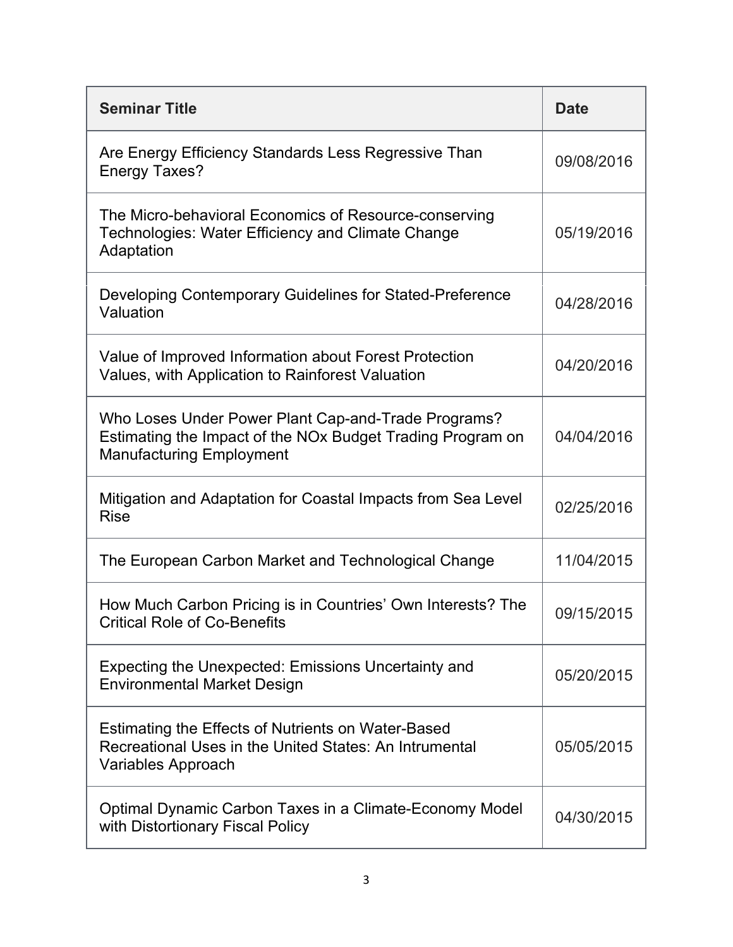| <b>Seminar Title</b>                                                                                                                                 | <b>Date</b> |
|------------------------------------------------------------------------------------------------------------------------------------------------------|-------------|
| Are Energy Efficiency Standards Less Regressive Than<br><b>Energy Taxes?</b>                                                                         | 09/08/2016  |
| The Micro-behavioral Economics of Resource-conserving<br>Technologies: Water Efficiency and Climate Change<br>Adaptation                             | 05/19/2016  |
| Developing Contemporary Guidelines for Stated-Preference<br>Valuation                                                                                | 04/28/2016  |
| Value of Improved Information about Forest Protection<br>Values, with Application to Rainforest Valuation                                            | 04/20/2016  |
| Who Loses Under Power Plant Cap-and-Trade Programs?<br>Estimating the Impact of the NOx Budget Trading Program on<br><b>Manufacturing Employment</b> | 04/04/2016  |
| Mitigation and Adaptation for Coastal Impacts from Sea Level<br><b>Rise</b>                                                                          | 02/25/2016  |
| The European Carbon Market and Technological Change                                                                                                  | 11/04/2015  |
| How Much Carbon Pricing is in Countries' Own Interests? The<br><b>Critical Role of Co-Benefits</b>                                                   | 09/15/2015  |
| Expecting the Unexpected: Emissions Uncertainty and<br><b>Environmental Market Design</b>                                                            | 05/20/2015  |
| Estimating the Effects of Nutrients on Water-Based<br>Recreational Uses in the United States: An Intrumental<br>Variables Approach                   | 05/05/2015  |
| Optimal Dynamic Carbon Taxes in a Climate-Economy Model<br>with Distortionary Fiscal Policy                                                          | 04/30/2015  |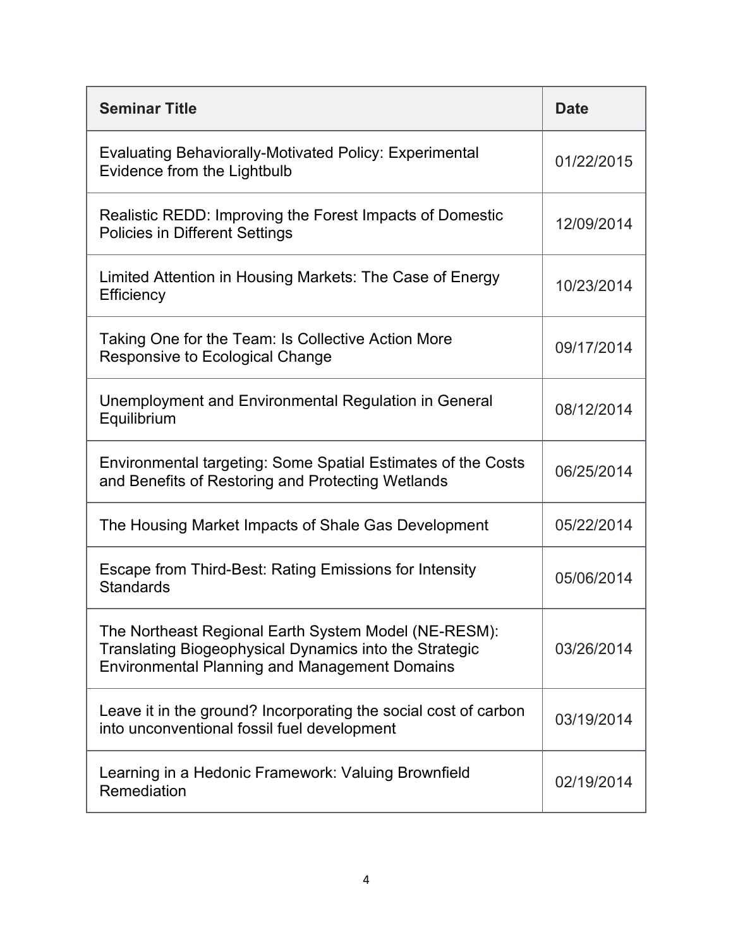| <b>Seminar Title</b>                                                                                                                                                   | <b>Date</b> |
|------------------------------------------------------------------------------------------------------------------------------------------------------------------------|-------------|
| <b>Evaluating Behaviorally-Motivated Policy: Experimental</b><br>Evidence from the Lightbulb                                                                           | 01/22/2015  |
| Realistic REDD: Improving the Forest Impacts of Domestic<br><b>Policies in Different Settings</b>                                                                      | 12/09/2014  |
| Limited Attention in Housing Markets: The Case of Energy<br>Efficiency                                                                                                 | 10/23/2014  |
| Taking One for the Team: Is Collective Action More<br>Responsive to Ecological Change                                                                                  | 09/17/2014  |
| Unemployment and Environmental Regulation in General<br>Equilibrium                                                                                                    | 08/12/2014  |
| Environmental targeting: Some Spatial Estimates of the Costs<br>and Benefits of Restoring and Protecting Wetlands                                                      | 06/25/2014  |
| The Housing Market Impacts of Shale Gas Development                                                                                                                    | 05/22/2014  |
| Escape from Third-Best: Rating Emissions for Intensity<br><b>Standards</b>                                                                                             | 05/06/2014  |
| The Northeast Regional Earth System Model (NE-RESM):<br>Translating Biogeophysical Dynamics into the Strategic<br><b>Environmental Planning and Management Domains</b> | 03/26/2014  |
| Leave it in the ground? Incorporating the social cost of carbon<br>into unconventional fossil fuel development                                                         | 03/19/2014  |
| Learning in a Hedonic Framework: Valuing Brownfield<br>Remediation                                                                                                     | 02/19/2014  |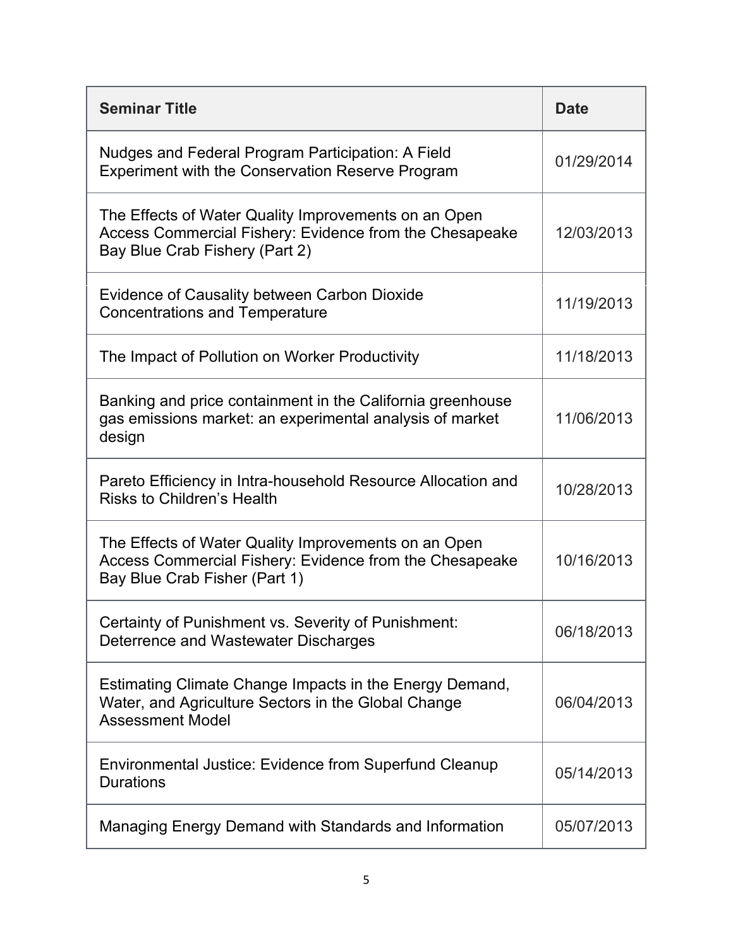| <b>Seminar Title</b>                                                                                                                              | <b>Date</b> |
|---------------------------------------------------------------------------------------------------------------------------------------------------|-------------|
| Nudges and Federal Program Participation: A Field<br><b>Experiment with the Conservation Reserve Program</b>                                      | 01/29/2014  |
| The Effects of Water Quality Improvements on an Open<br>Access Commercial Fishery: Evidence from the Chesapeake<br>Bay Blue Crab Fishery (Part 2) | 12/03/2013  |
| <b>Evidence of Causality between Carbon Dioxide</b><br><b>Concentrations and Temperature</b>                                                      | 11/19/2013  |
| The Impact of Pollution on Worker Productivity                                                                                                    | 11/18/2013  |
| Banking and price containment in the California greenhouse<br>gas emissions market: an experimental analysis of market<br>design                  | 11/06/2013  |
| Pareto Efficiency in Intra-household Resource Allocation and<br><b>Risks to Children's Health</b>                                                 | 10/28/2013  |
| The Effects of Water Quality Improvements on an Open<br>Access Commercial Fishery: Evidence from the Chesapeake<br>Bay Blue Crab Fisher (Part 1)  | 10/16/2013  |
| Certainty of Punishment vs. Severity of Punishment:<br>Deterrence and Wastewater Discharges                                                       | 06/18/2013  |
| Estimating Climate Change Impacts in the Energy Demand,<br>Water, and Agriculture Sectors in the Global Change<br><b>Assessment Model</b>         | 06/04/2013  |
| Environmental Justice: Evidence from Superfund Cleanup<br><b>Durations</b>                                                                        | 05/14/2013  |
| Managing Energy Demand with Standards and Information                                                                                             | 05/07/2013  |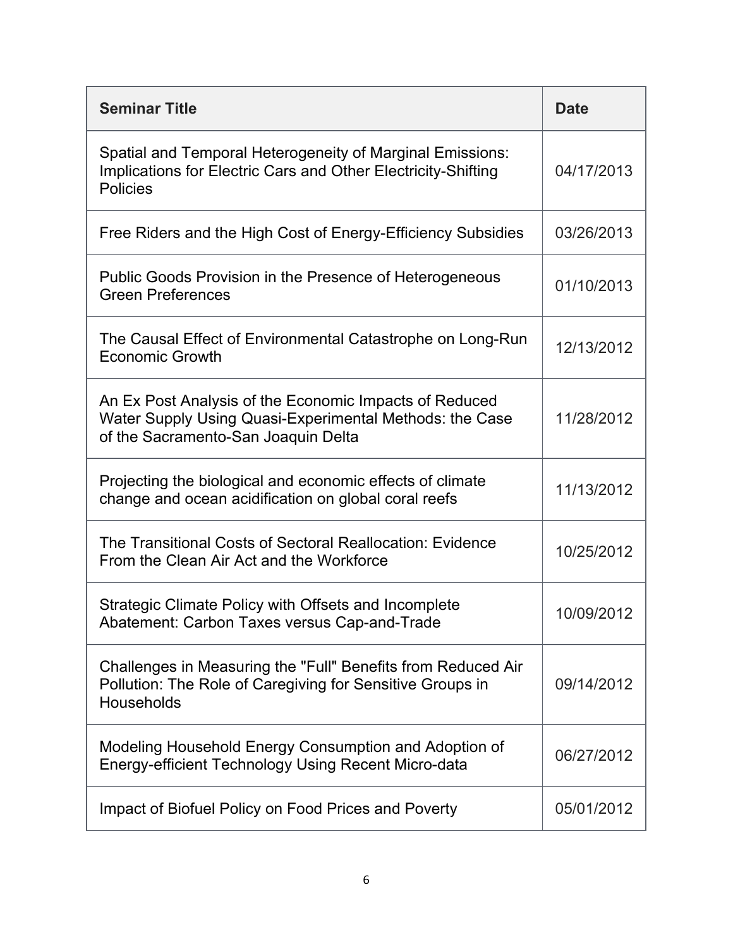| <b>Seminar Title</b>                                                                                                                                     | <b>Date</b> |
|----------------------------------------------------------------------------------------------------------------------------------------------------------|-------------|
| Spatial and Temporal Heterogeneity of Marginal Emissions:<br>Implications for Electric Cars and Other Electricity-Shifting<br><b>Policies</b>            | 04/17/2013  |
| Free Riders and the High Cost of Energy-Efficiency Subsidies                                                                                             | 03/26/2013  |
| Public Goods Provision in the Presence of Heterogeneous<br><b>Green Preferences</b>                                                                      | 01/10/2013  |
| The Causal Effect of Environmental Catastrophe on Long-Run<br><b>Economic Growth</b>                                                                     | 12/13/2012  |
| An Ex Post Analysis of the Economic Impacts of Reduced<br>Water Supply Using Quasi-Experimental Methods: the Case<br>of the Sacramento-San Joaquin Delta | 11/28/2012  |
| Projecting the biological and economic effects of climate<br>change and ocean acidification on global coral reefs                                        | 11/13/2012  |
| The Transitional Costs of Sectoral Reallocation: Evidence<br>From the Clean Air Act and the Workforce                                                    | 10/25/2012  |
| Strategic Climate Policy with Offsets and Incomplete<br>Abatement: Carbon Taxes versus Cap-and-Trade                                                     | 10/09/2012  |
| Challenges in Measuring the "Full" Benefits from Reduced Air<br>Pollution: The Role of Caregiving for Sensitive Groups in<br>Households                  | 09/14/2012  |
| Modeling Household Energy Consumption and Adoption of<br>Energy-efficient Technology Using Recent Micro-data                                             | 06/27/2012  |
| Impact of Biofuel Policy on Food Prices and Poverty                                                                                                      | 05/01/2012  |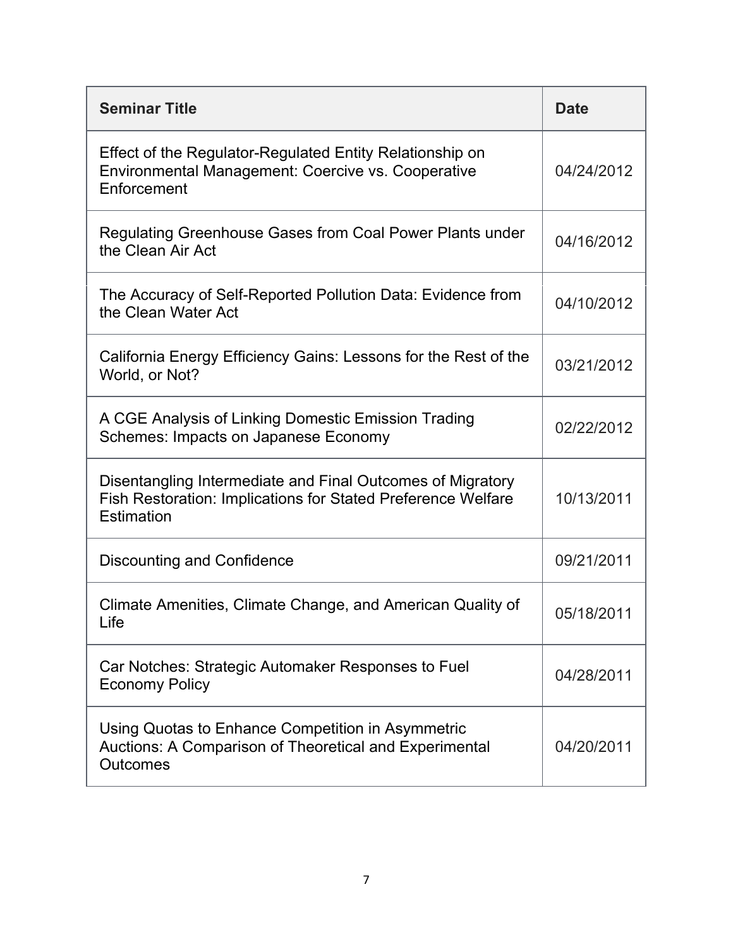| <b>Seminar Title</b>                                                                                                                     | <b>Date</b> |
|------------------------------------------------------------------------------------------------------------------------------------------|-------------|
| Effect of the Regulator-Regulated Entity Relationship on<br>Environmental Management: Coercive vs. Cooperative<br>Enforcement            | 04/24/2012  |
| Regulating Greenhouse Gases from Coal Power Plants under<br>the Clean Air Act                                                            | 04/16/2012  |
| The Accuracy of Self-Reported Pollution Data: Evidence from<br>the Clean Water Act                                                       | 04/10/2012  |
| California Energy Efficiency Gains: Lessons for the Rest of the<br>World, or Not?                                                        | 03/21/2012  |
| A CGE Analysis of Linking Domestic Emission Trading<br>Schemes: Impacts on Japanese Economy                                              | 02/22/2012  |
| Disentangling Intermediate and Final Outcomes of Migratory<br>Fish Restoration: Implications for Stated Preference Welfare<br>Estimation | 10/13/2011  |
| <b>Discounting and Confidence</b>                                                                                                        | 09/21/2011  |
| Climate Amenities, Climate Change, and American Quality of<br>Life                                                                       | 05/18/2011  |
| Car Notches: Strategic Automaker Responses to Fuel<br><b>Economy Policy</b>                                                              | 04/28/2011  |
| Using Quotas to Enhance Competition in Asymmetric<br>Auctions: A Comparison of Theoretical and Experimental<br><b>Outcomes</b>           | 04/20/2011  |